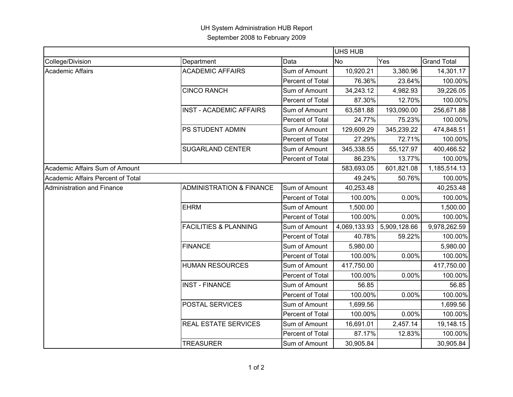## UH System Administration HUB Report September 2008 to February 2009

|                                   |                                     |                  | <b>UHS HUB</b> |              |                    |  |
|-----------------------------------|-------------------------------------|------------------|----------------|--------------|--------------------|--|
| College/Division                  | Department                          | Data             | <b>No</b>      | Yes          | <b>Grand Total</b> |  |
| Academic Affairs                  | <b>ACADEMIC AFFAIRS</b>             | Sum of Amount    | 10,920.21      | 3,380.96     | 14,301.17          |  |
|                                   |                                     | Percent of Total | 76.36%         | 23.64%       | 100.00%            |  |
|                                   | <b>CINCO RANCH</b>                  | Sum of Amount    | 34,243.12      | 4,982.93     | 39,226.05          |  |
|                                   |                                     | Percent of Total | 87.30%         | 12.70%       | 100.00%            |  |
|                                   | <b>INST - ACADEMIC AFFAIRS</b>      | Sum of Amount    | 63,581.88      | 193,090.00   | 256,671.88         |  |
|                                   |                                     | Percent of Total | 24.77%         | 75.23%       | 100.00%            |  |
|                                   | PS STUDENT ADMIN                    | Sum of Amount    | 129,609.29     | 345,239.22   | 474,848.51         |  |
|                                   |                                     | Percent of Total | 27.29%         | 72.71%       | 100.00%            |  |
|                                   | <b>SUGARLAND CENTER</b>             | Sum of Amount    | 345,338.55     | 55,127.97    | 400,466.52         |  |
|                                   |                                     | Percent of Total | 86.23%         | 13.77%       | 100.00%            |  |
| Academic Affairs Sum of Amount    |                                     |                  | 583,693.05     | 601,821.08   | 1,185,514.13       |  |
| Academic Affairs Percent of Total |                                     |                  | 49.24%         | 50.76%       | 100.00%            |  |
| Administration and Finance        | <b>ADMINISTRATION &amp; FINANCE</b> | Sum of Amount    | 40,253.48      |              | 40,253.48          |  |
|                                   |                                     | Percent of Total | 100.00%        | 0.00%        | 100.00%            |  |
|                                   | <b>EHRM</b>                         | Sum of Amount    | 1,500.00       |              | 1,500.00           |  |
|                                   |                                     | Percent of Total | 100.00%        | 0.00%        | 100.00%            |  |
|                                   | <b>FACILITIES &amp; PLANNING</b>    | Sum of Amount    | 4,069,133.93   | 5,909,128.66 | 9,978,262.59       |  |
|                                   |                                     | Percent of Total | 40.78%         | 59.22%       | 100.00%            |  |
|                                   | <b>FINANCE</b>                      | Sum of Amount    | 5,980.00       |              | 5,980.00           |  |
|                                   |                                     | Percent of Total | 100.00%        | 0.00%        | 100.00%            |  |
|                                   | <b>HUMAN RESOURCES</b>              | Sum of Amount    | 417,750.00     |              | 417,750.00         |  |
|                                   |                                     | Percent of Total | 100.00%        | 0.00%        | 100.00%            |  |
|                                   | <b>INST - FINANCE</b>               | Sum of Amount    | 56.85          |              | 56.85              |  |
|                                   |                                     | Percent of Total | 100.00%        | 0.00%        | 100.00%            |  |
|                                   | POSTAL SERVICES                     | Sum of Amount    | 1,699.56       |              | 1,699.56           |  |
|                                   |                                     | Percent of Total | 100.00%        | 0.00%        | 100.00%            |  |
|                                   | <b>REAL ESTATE SERVICES</b>         | Sum of Amount    | 16,691.01      | 2,457.14     | 19,148.15          |  |
|                                   |                                     | Percent of Total | 87.17%         | 12.83%       | 100.00%            |  |
|                                   | <b>TREASURER</b>                    | Sum of Amount    | 30,905.84      |              | 30,905.84          |  |